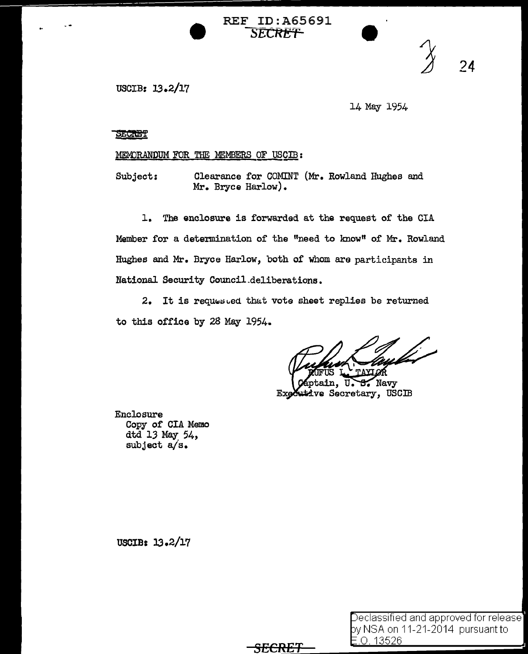USCIB: 13.2/17

l4 May 1954

24

SECRET

MEMORANDUM FOR THE MEMBERS OF USCIB:

Subject: Clearance for COMINT (Mr. Rowland Hughes and Mr. Bryce Harlow).

REF ID:A65691 **SECRET** 

1. The enclosure is forwarded at the request of the CIA Member for a determination of the "need to lmow" of Mr. Rowland Hughes and Mr. Bryce Harlow, both of whom aro participants in National Security Council.deliberations.

2. It is requested that vote sheet replies be returned to this office by 28 May 1954.

ptain, U.  $S$  Navy Exgestive Secretary, USCIB

Enclosure Copy of CIA Memo dtd 13 May 54, subject a/s.

USCIB:  $13.2/17$ 

| Declassified and approved for release] |  |  |
|----------------------------------------|--|--|
| ογ NSA on 11-21-2014  pursuant to      |  |  |
| <u>E.O. 13526.</u>                     |  |  |

*SECRET*